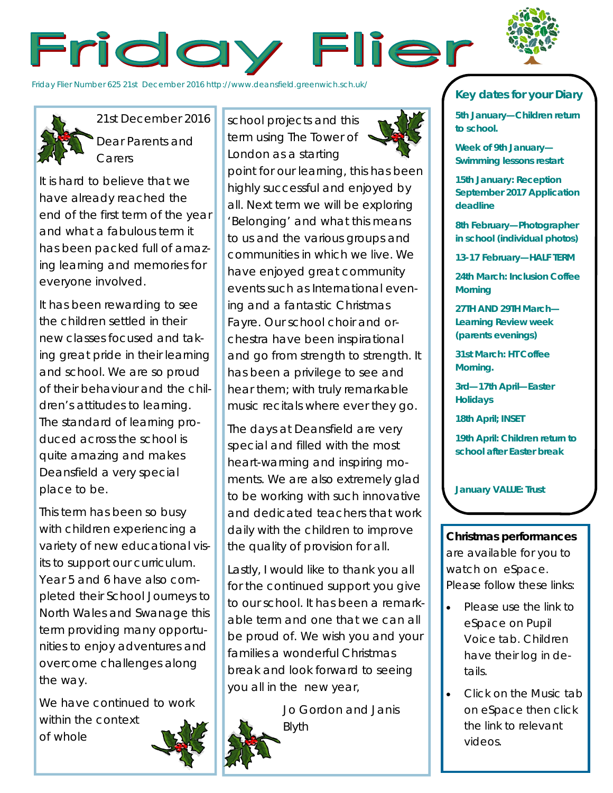



Friday Flier Number 625 21st December 2016 http://www.deansfield.greenwich.sch.uk/



21st December 2016 Dear Parents and **Carers** 

It is hard to believe that we have already reached the end of the first term of the year and what a fabulous term it has been packed full of amazing learning and memories for everyone involved.

It has been rewarding to see the children settled in their new classes focused and taking great pride in their learning and school. We are so proud of their behaviour and the children's attitudes to learning. The standard of learning produced across the school is quite amazing and makes Deansfield a very special place to be.

This term has been so busy with children experiencing a variety of new educational visits to support our curriculum. Year 5 and 6 have also completed their School Journeys to North Wales and Swanage this term providing many opportunities to enjoy adventures and overcome challenges along the way.

We have continued to work within the context of whole

school projects and this term using The Tower of London as a starting point for our learning, this has been highly successful and enjoyed by all. Next term we will be exploring 'Belonging' and what this means to us and the various groups and communities in which we live. We have enjoyed great community

events such as International evening and a fantastic Christmas Fayre. Our school choir and orchestra have been inspirational and go from strength to strength. It has been a privilege to see and hear them; with truly remarkable music recitals where ever they go.

The days at Deansfield are very special and filled with the most heart-warming and inspiring moments. We are also extremely glad to be working with such innovative and dedicated teachers that work daily with the children to improve the quality of provision for all.

Lastly, I would like to thank you all for the continued support you give to our school. It has been a remarkable term and one that we can all be proud of. We wish you and your families a wonderful Christmas break and look forward to seeing you all in the new year,

> Jo Gordon and Janis Blyth





**5th January—Children return to school.** 

**Week of 9th January— Swimming lessons restart**

**15th January: Reception September 2017 Application deadline**

**8th February—Photographer in school (individual photos)**

**13-17 February—HALF TERM**

**24th March: Inclusion Coffee Morning**

**27TH AND 29TH March— Learning Review week (parents evenings)**

**31st March: HT Coffee Morning.**

**3rd—17th April—Easter Holidays**

**18th April; INSET** 

**19th April: Children return to school after Easter break**

**January VALUE: Trust**

**Christmas performances**  are available for you to watch on eSpace. Please follow these links:

- Please use the link to eSpace on Pupil Voice tab. Children have their log in details.
- Click on the Music tab on eSpace then click the link to relevant videos.